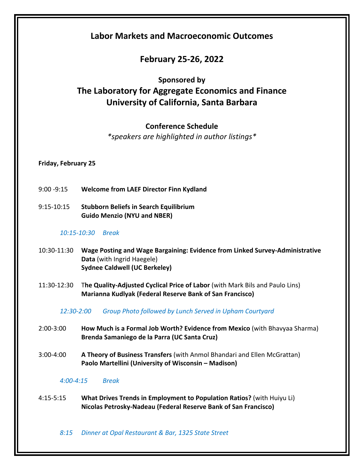# **Labor Markets and Macroeconomic Outcomes**

# **February 25-26, 2022**

## **Sponsored by**

# **The Laboratory for Aggregate Economics and Finance University of California, Santa Barbara**

## **Conference Schedule**

*\*speakers are highlighted in author listings\**

## **Friday, February 25**

- 9:00 -9:15 **Welcome from LAEF Director Finn Kydland**
- 9:15-10:15 **Stubborn Beliefs in Search Equilibrium Guido Menzio (NYU and NBER)**

### *10:15-10:30 Break*

- 10:30-11:30 **Wage Posting and Wage Bargaining: Evidence from Linked Survey-Administrative Data** (with Ingrid Haegele) **Sydnee Caldwell (UC Berkeley)**
- 11:30-12:30 T**he Quality-Adjusted Cyclical Price of Labor** (with Mark Bils and Paulo Lins) **Marianna Kudlyak (Federal Reserve Bank of San Francisco)**

#### *12:30-2:00 Group Photo followed by Lunch Served in Upham Courtyard*

- 2:00-3:00 **How Much is a Formal Job Worth? Evidence from Mexico** (with Bhavyaa Sharma) **Brenda Samaniego de la Parra (UC Santa Cruz)**
- 3:00-4:00 **A Theory of Business Transfers** (with Anmol Bhandari and Ellen McGrattan) **Paolo Martellini (University of Wisconsin – Madison)**

#### *4:00-4:15 Break*

4:15-5:15 **What Drives Trends in Employment to Population Ratios?** (with Huiyu Li) **Nicolas Petrosky-Nadeau (Federal Reserve Bank of San Francisco)**

*8:15 Dinner at Opal Restaurant & Bar, 1325 State Street*